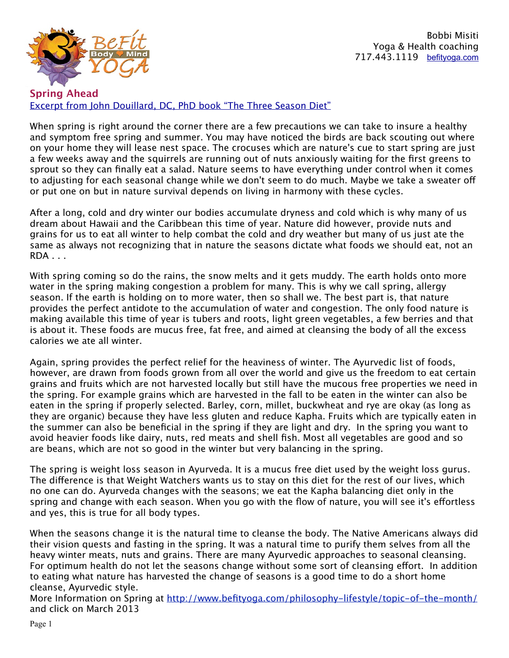

Bobbi Misiti Yoga & Health coaching 717.443.1119 [befityoga.com](http://befityoga.com)

**Spring Ahead** [Excerpt from John Douillard, DC, PhD book "The Three Season Diet"](https://store.lifespa.com/product-category/bath-beauty/skin-care/?_sft_product_cat=bath-beauty)

When spring is right around the corner there are a few precautions we can take to insure a healthy and symptom free spring and summer. You may have noticed the birds are back scouting out where on your home they will lease nest space. The crocuses which are nature's cue to start spring are just a few weeks away and the squirrels are running out of nuts anxiously waiting for the first greens to sprout so they can finally eat a salad. Nature seems to have everything under control when it comes to adjusting for each seasonal change while we don't seem to do much. Maybe we take a sweater of or put one on but in nature survival depends on living in harmony with these cycles.

After a long, cold and dry winter our bodies accumulate dryness and cold which is why many of us dream about Hawaii and the Caribbean this time of year. Nature did however, provide nuts and grains for us to eat all winter to help combat the cold and dry weather but many of us just ate the same as always not recognizing that in nature the seasons dictate what foods we should eat, not an RDA . . .

With spring coming so do the rains, the snow melts and it gets muddy. The earth holds onto more water in the spring making congestion a problem for many. This is why we call spring, allergy season. If the earth is holding on to more water, then so shall we. The best part is, that nature provides the perfect antidote to the accumulation of water and congestion. The only food nature is making available this time of year is tubers and roots, light green vegetables, a few berries and that is about it. These foods are mucus free, fat free, and aimed at cleansing the body of all the excess calories we ate all winter.

Again, spring provides the perfect relief for the heaviness of winter. The Ayurvedic list of foods, however, are drawn from foods grown from all over the world and give us the freedom to eat certain grains and fruits which are not harvested locally but still have the mucous free properties we need in the spring. For example grains which are harvested in the fall to be eaten in the winter can also be eaten in the spring if properly selected. Barley, corn, millet, buckwheat and rye are okay (as long as they are organic) because they have less gluten and reduce Kapha. Fruits which are typically eaten in the summer can also be beneficial in the spring if they are light and dry. In the spring you want to avoid heavier foods like dairy, nuts, red meats and shell fish. Most all vegetables are good and so are beans, which are not so good in the winter but very balancing in the spring.

The spring is weight loss season in Ayurveda. It is a mucus free diet used by the weight loss gurus. The diference is that Weight Watchers wants us to stay on this diet for the rest of our lives, which no one can do. Ayurveda changes with the seasons; we eat the Kapha balancing diet only in the spring and change with each season. When you go with the flow of nature, you will see it's efortless and yes, this is true for all body types.

When the seasons change it is the natural time to cleanse the body. The Native Americans always did their vision quests and fasting in the spring. It was a natural time to purify them selves from all the heavy winter meats, nuts and grains. There are many Ayurvedic approaches to seasonal cleansing. For optimum health do not let the seasons change without some sort of cleansing effort. In addition to eating what nature has harvested the change of seasons is a good time to do a short home cleanse, Ayurvedic style.

More Information on Spring at <http://www.befityoga.com/philosophy-lifestyle/topic-of-the-month/> and click on March 2013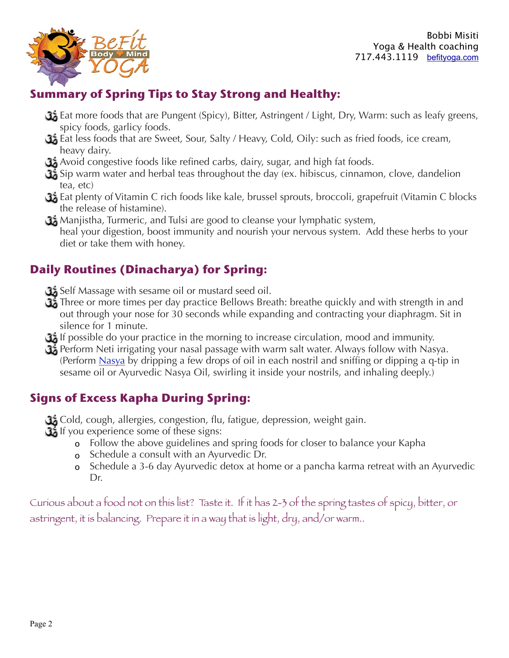

## **Summary of Spring Tips to Stay Strong and Healthy:**

- Eat more foods that are Pungent (Spicy), Bitter, Astringent / Light, Dry, Warm: such as leafy greens, spicy foods, garlicy foods.
- Eat less foods that are Sweet, Sour, Salty / Heavy, Cold, Oily: such as fried foods, ice cream, heavy dairy.
- Avoid congestive foods like refined carbs, dairy, sugar, and high fat foods.
- Sip warm water and herbal teas throughout the day (ex. hibiscus, cinnamon, clove, dandelion tea, etc)
- Eat plenty of Vitamin C rich foods like kale, brussel sprouts, broccoli, grapefruit (Vitamin C blocks the release of histamine).
- $\Omega$ , Manjistha, Turmeric, and Tulsi are good to cleanse your lymphatic system, heal your digestion, boost immunity and nourish your nervous system. Add these herbs to your diet or take them with honey.

## **Daily Routines (Dinacharya) for Spring:**

- Self Massage with sesame oil or mustard seed oil.
- Three or more times per day practice Bellows Breath: breathe quickly and with strength in and out through your nose for 30 seconds while expanding and contracting your diaphragm. Sit in silence for 1 minute.
- If possible do your practice in the morning to increase circulation, mood and immunity.
- Perform Neti irrigating your nasal passage with warm salt water. Always follow with Nasya. (Perform [Nasya](http://lifespa.com/2008/12/oil-for-your-ears-and-nose/) by dripping a few drops of oil in each nostril and sniffing or dipping a q-tip in sesame oil or Ayurvedic Nasya Oil, swirling it inside your nostrils, and inhaling deeply.)

## **Signs of Excess Kapha During Spring:**

Cold, cough, allergies, congestion, flu, fatigue, depression, weight gain.

- If you experience some of these signs:
	- o Follow the above guidelines and spring foods for closer to balance your Kapha
	- o Schedule a consult with an Ayurvedic Dr.
	- o Schedule a 3-6 day Ayurvedic detox at home or a pancha karma retreat with an Ayurvedic Dr.

Curious about a food not on this list? Taste it. If it has 2-3 of the spring tastes of spicy, bitter, or astringent, it is balancing. Prepare it in a way that is light, dry, and/or warm..